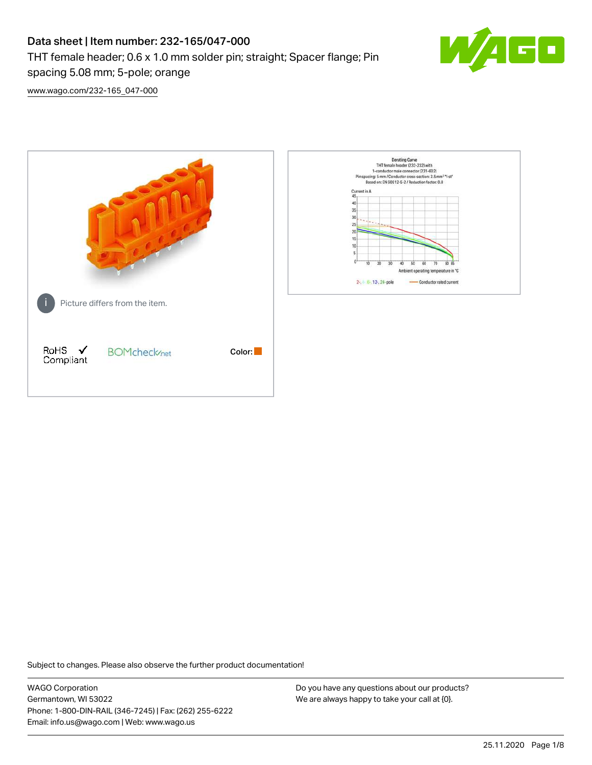# Data sheet | Item number: 232-165/047-000 THT female header; 0.6 x 1.0 mm solder pin; straight; Spacer flange; Pin spacing 5.08 mm; 5-pole; orange



[www.wago.com/232-165\\_047-000](http://www.wago.com/232-165_047-000)



Subject to changes. Please also observe the further product documentation!

WAGO Corporation Germantown, WI 53022 Phone: 1-800-DIN-RAIL (346-7245) | Fax: (262) 255-6222 Email: info.us@wago.com | Web: www.wago.us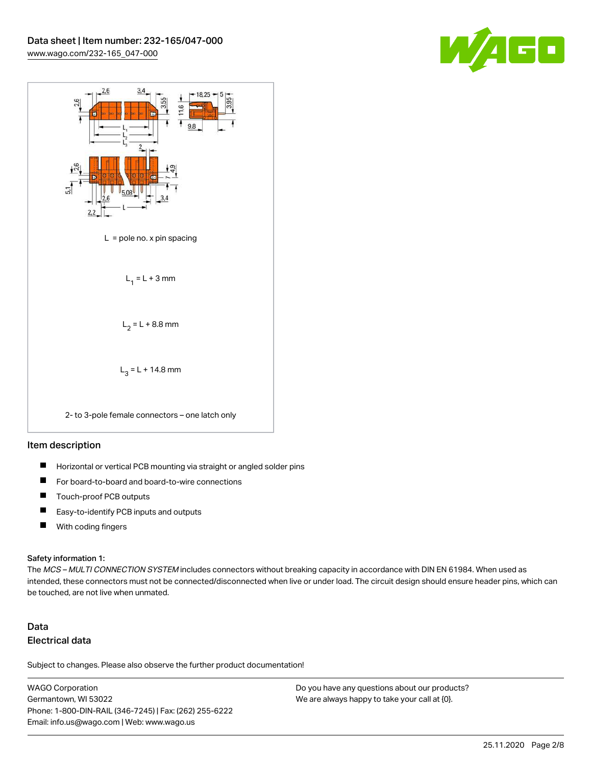



### Item description

- $\blacksquare$ Horizontal or vertical PCB mounting via straight or angled solder pins
- П For board-to-board and board-to-wire connections
- $\blacksquare$ Touch-proof PCB outputs
- $\blacksquare$ Easy-to-identify PCB inputs and outputs
- $\blacksquare$ With coding fingers

#### Safety information 1:

The MCS - MULTI CONNECTION SYSTEM includes connectors without breaking capacity in accordance with DIN EN 61984. When used as intended, these connectors must not be connected/disconnected when live or under load. The circuit design should ensure header pins, which can be touched, are not live when unmated.

# Data Electrical data

Subject to changes. Please also observe the further product documentation!

WAGO Corporation Germantown, WI 53022 Phone: 1-800-DIN-RAIL (346-7245) | Fax: (262) 255-6222 Email: info.us@wago.com | Web: www.wago.us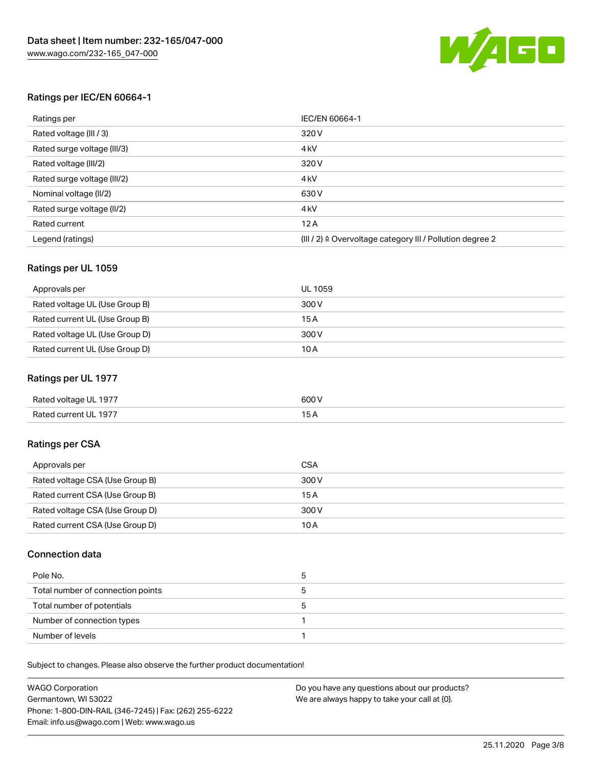

# Ratings per IEC/EN 60664-1

| Ratings per                 | IEC/EN 60664-1                                                        |
|-----------------------------|-----------------------------------------------------------------------|
| Rated voltage (III / 3)     | 320 V                                                                 |
| Rated surge voltage (III/3) | 4 <sub>k</sub> V                                                      |
| Rated voltage (III/2)       | 320 V                                                                 |
| Rated surge voltage (III/2) | 4 <sub>k</sub> V                                                      |
| Nominal voltage (II/2)      | 630 V                                                                 |
| Rated surge voltage (II/2)  | 4 <sub>k</sub> V                                                      |
| Rated current               | 12A                                                                   |
| Legend (ratings)            | $(III / 2)$ $\triangle$ Overvoltage category III / Pollution degree 2 |

# Ratings per UL 1059

| Approvals per                  | UL 1059 |
|--------------------------------|---------|
| Rated voltage UL (Use Group B) | 300 V   |
| Rated current UL (Use Group B) | 15 A    |
| Rated voltage UL (Use Group D) | 300 V   |
| Rated current UL (Use Group D) | 10 A    |

# Ratings per UL 1977

| Rated voltage UL 1977 | 600 <sup>V</sup><br>. |
|-----------------------|-----------------------|
| Rated current UL 1977 |                       |

# Ratings per CSA

| Approvals per                   | CSA   |
|---------------------------------|-------|
| Rated voltage CSA (Use Group B) | 300 V |
| Rated current CSA (Use Group B) | 15 A  |
| Rated voltage CSA (Use Group D) | 300 V |
| Rated current CSA (Use Group D) | 10 A  |

# Connection data

| Pole No.                          |  |
|-----------------------------------|--|
| Total number of connection points |  |
| Total number of potentials        |  |
| Number of connection types        |  |
| Number of levels                  |  |

Subject to changes. Please also observe the further product documentation!

| <b>WAGO Corporation</b>                                | Do you have any questions about our products? |
|--------------------------------------------------------|-----------------------------------------------|
| Germantown, WI 53022                                   | We are always happy to take your call at {0}. |
| Phone: 1-800-DIN-RAIL (346-7245)   Fax: (262) 255-6222 |                                               |
| Email: info.us@wago.com   Web: www.wago.us             |                                               |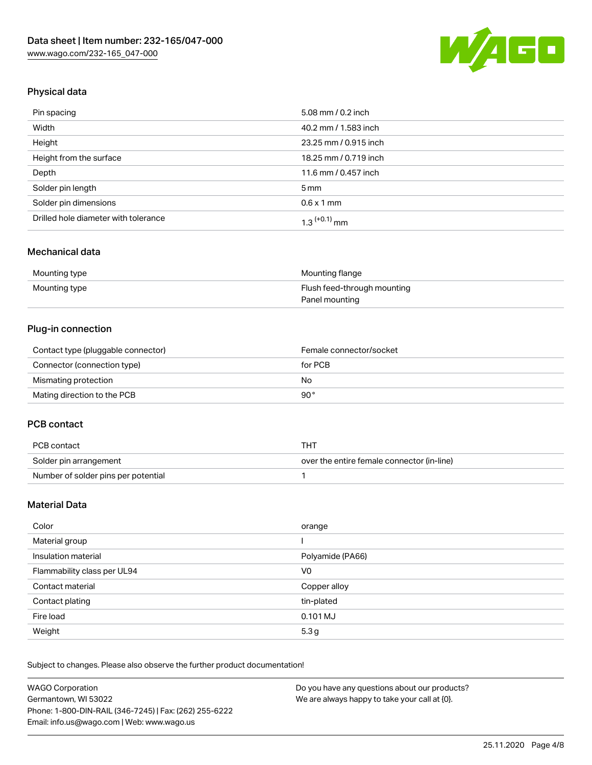

# Physical data

| Pin spacing                          | 5.08 mm / 0.2 inch    |
|--------------------------------------|-----------------------|
| Width                                | 40.2 mm / 1.583 inch  |
| Height                               | 23.25 mm / 0.915 inch |
| Height from the surface              | 18.25 mm / 0.719 inch |
| Depth                                | 11.6 mm / 0.457 inch  |
| Solder pin length                    | $5 \,\mathrm{mm}$     |
| Solder pin dimensions                | $0.6 \times 1$ mm     |
| Drilled hole diameter with tolerance | $1.3$ $(+0.1)$ mm     |

# Mechanical data

| Mounting type | Mounting flange             |
|---------------|-----------------------------|
| Mounting type | Flush feed-through mounting |
|               | Panel mounting              |

# Plug-in connection

| Contact type (pluggable connector) | Female connector/socket |
|------------------------------------|-------------------------|
| Connector (connection type)        | for PCB                 |
| Mismating protection               | No                      |
| Mating direction to the PCB        | 90°                     |

# PCB contact

| PCB contact                         | THT                                        |
|-------------------------------------|--------------------------------------------|
| Solder pin arrangement              | over the entire female connector (in-line) |
| Number of solder pins per potential |                                            |

# Material Data

| Color                       | orange           |
|-----------------------------|------------------|
| Material group              |                  |
| Insulation material         | Polyamide (PA66) |
| Flammability class per UL94 | V0               |
| Contact material            | Copper alloy     |
| Contact plating             | tin-plated       |
| Fire load                   | 0.101 MJ         |
| Weight                      | 5.3 <sub>g</sub> |

Subject to changes. Please also observe the further product documentation!

| <b>WAGO Corporation</b>                                | Do you have any questions about our products? |
|--------------------------------------------------------|-----------------------------------------------|
| Germantown, WI 53022                                   | We are always happy to take your call at {0}. |
| Phone: 1-800-DIN-RAIL (346-7245)   Fax: (262) 255-6222 |                                               |
| Email: info.us@wago.com   Web: www.wago.us             |                                               |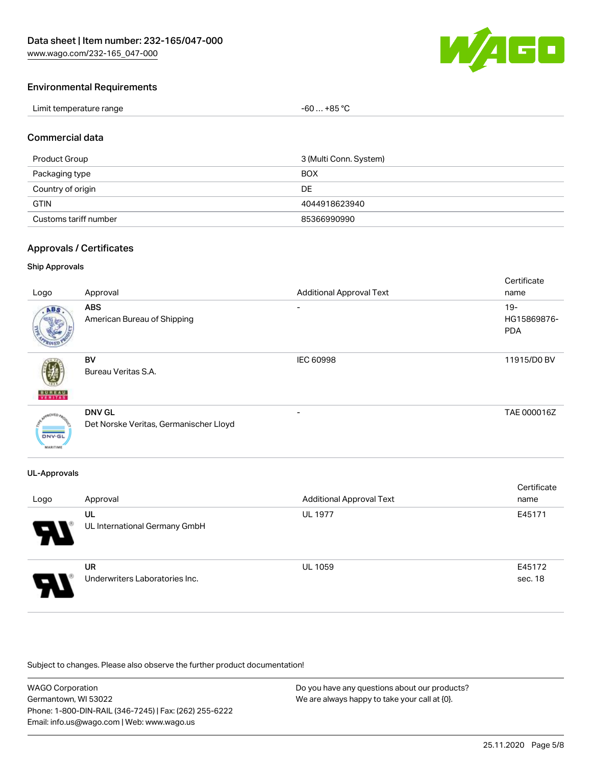

# Environmental Requirements

| Limit temperature range | $-60+85 °C$ |
|-------------------------|-------------|
|-------------------------|-------------|

### Commercial data

| Product Group         | 3 (Multi Conn. System) |
|-----------------------|------------------------|
| Packaging type        | <b>BOX</b>             |
| Country of origin     | DE                     |
| <b>GTIN</b>           | 4044918623940          |
| Customs tariff number | 85366990990            |

### Approvals / Certificates

### Ship Approvals

| Logo                                       | Approval                                                | <b>Additional Approval Text</b> | Certificate<br>name                 |
|--------------------------------------------|---------------------------------------------------------|---------------------------------|-------------------------------------|
| ABS                                        | <b>ABS</b><br>American Bureau of Shipping               | -                               | $19 -$<br>HG15869876-<br><b>PDA</b> |
| <b>BUREAU</b><br>VERITAS                   | BV<br>Bureau Veritas S.A.                               | <b>IEC 60998</b>                | 11915/D0 BV                         |
| aOVED.<br><b>DNV-GL</b><br><b>MARITIME</b> | <b>DNV GL</b><br>Det Norske Veritas, Germanischer Lloyd |                                 | TAE 000016Z                         |

# UL-Approvals

| Logo                  | Approval                                    | <b>Additional Approval Text</b> | Certificate<br>name |
|-----------------------|---------------------------------------------|---------------------------------|---------------------|
| $\boldsymbol{\theta}$ | UL<br>UL International Germany GmbH         | <b>UL 1977</b>                  | E45171              |
| Я.                    | <b>UR</b><br>Underwriters Laboratories Inc. | <b>UL 1059</b>                  | E45172<br>sec. 18   |

Subject to changes. Please also observe the further product documentation!

| <b>WAGO Corporation</b>                                | Do you have any questions about our products? |
|--------------------------------------------------------|-----------------------------------------------|
| Germantown, WI 53022                                   | We are always happy to take your call at {0}. |
| Phone: 1-800-DIN-RAIL (346-7245)   Fax: (262) 255-6222 |                                               |
| Email: info.us@wago.com   Web: www.wago.us             |                                               |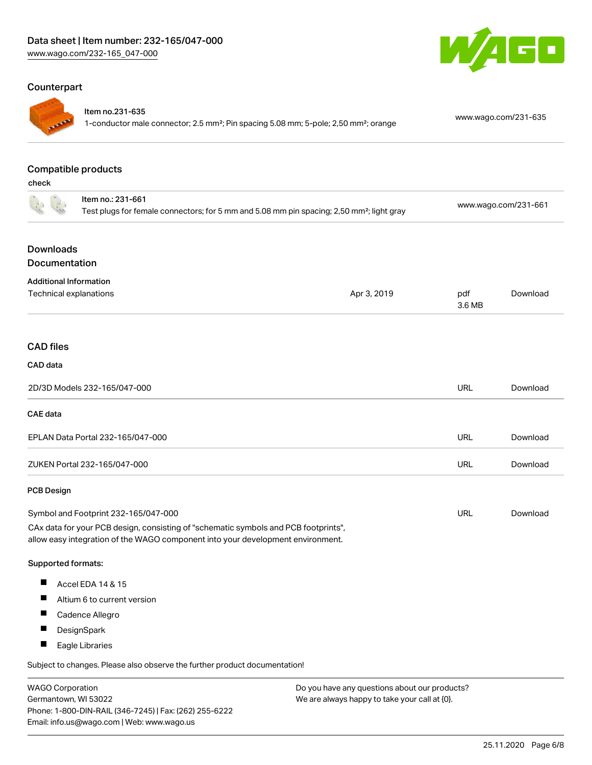# Counterpart



### Item no.231-635

1-conductor male connector; 2.5 mm²; Pin spacing 5.08 mm; 5-pole; 2,50 mm²; orange [www.wago.com/231-635](https://www.wago.com/231-635)

GO

### Compatible products

check

| Item no.: 231-661<br>Test plugs for female connectors; for 5 mm and 5.08 mm pin spacing; 2,50 mm <sup>2</sup> ; light gray                                             |             | www.wago.com/231-661 |          |
|------------------------------------------------------------------------------------------------------------------------------------------------------------------------|-------------|----------------------|----------|
| <b>Downloads</b><br>Documentation                                                                                                                                      |             |                      |          |
| <b>Additional Information</b><br>Technical explanations                                                                                                                | Apr 3, 2019 | pdf<br>3.6 MB        | Download |
| <b>CAD files</b>                                                                                                                                                       |             |                      |          |
| CAD data                                                                                                                                                               |             |                      |          |
| 2D/3D Models 232-165/047-000                                                                                                                                           |             | <b>URL</b>           | Download |
| <b>CAE</b> data                                                                                                                                                        |             |                      |          |
| EPLAN Data Portal 232-165/047-000                                                                                                                                      |             | <b>URL</b>           | Download |
| ZUKEN Portal 232-165/047-000                                                                                                                                           |             | <b>URL</b>           | Download |
| <b>PCB Design</b>                                                                                                                                                      |             |                      |          |
| Symbol and Footprint 232-165/047-000                                                                                                                                   |             | <b>URL</b>           | Download |
| CAx data for your PCB design, consisting of "schematic symbols and PCB footprints",<br>allow easy integration of the WAGO component into your development environment. |             |                      |          |
| Supported formats:                                                                                                                                                     |             |                      |          |
| ш<br>Accel EDA 14 & 15                                                                                                                                                 |             |                      |          |
| ш<br>Altium 6 to current version                                                                                                                                       |             |                      |          |
| ш<br>Cadence Allegro                                                                                                                                                   |             |                      |          |
| $\overline{\phantom{a}}$<br>DesignSpark                                                                                                                                |             |                      |          |
| ш<br>Eagle Libraries                                                                                                                                                   |             |                      |          |
| Subject to changes. Please also observe the further product documentation!                                                                                             |             |                      |          |

WAGO Corporation Germantown, WI 53022 Phone: 1-800-DIN-RAIL (346-7245) | Fax: (262) 255-6222 Email: info.us@wago.com | Web: www.wago.us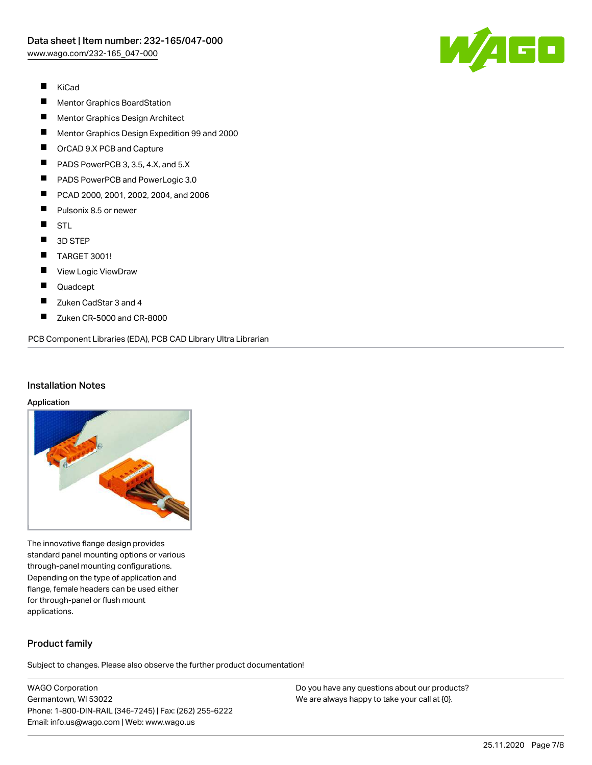

- $\blacksquare$ KiCad
- П Mentor Graphics BoardStation
- $\blacksquare$ Mentor Graphics Design Architect
- $\blacksquare$ Mentor Graphics Design Expedition 99 and 2000
- $\blacksquare$ OrCAD 9.X PCB and Capture
- $\blacksquare$ PADS PowerPCB 3, 3.5, 4.X, and 5.X
- $\blacksquare$ PADS PowerPCB and PowerLogic 3.0
- $\blacksquare$ PCAD 2000, 2001, 2002, 2004, and 2006
- П Pulsonix 8.5 or newer
- $\blacksquare$ STL
- $\blacksquare$ 3D STEP
- $\blacksquare$ TARGET 3001!
- $\blacksquare$ View Logic ViewDraw
- $\blacksquare$ Quadcept
- $\blacksquare$ Zuken CadStar 3 and 4
- $\blacksquare$ Zuken CR-5000 and CR-8000

PCB Component Libraries (EDA), PCB CAD Library Ultra Librarian

### Installation Notes

#### Application



The innovative flange design provides standard panel mounting options or various through-panel mounting configurations. Depending on the type of application and flange, female headers can be used either for through-panel or flush mount applications.

# Product family

Subject to changes. Please also observe the further product documentation!

WAGO Corporation Germantown, WI 53022 Phone: 1-800-DIN-RAIL (346-7245) | Fax: (262) 255-6222 Email: info.us@wago.com | Web: www.wago.us